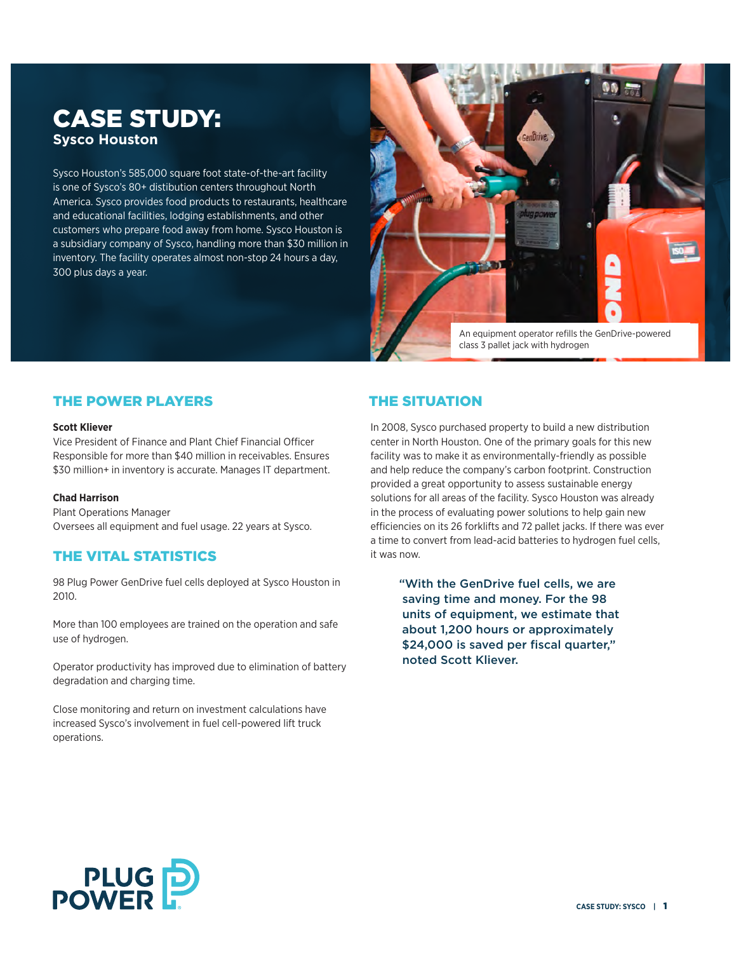# CASE STUDY: **Sysco Houston**

Sysco Houston's 585,000 square foot state-of-the-art facility is one of Sysco's 80+ distibution centers throughout North America. Sysco provides food products to restaurants, healthcare and educational facilities, lodging establishments, and other customers who prepare food away from home. Sysco Houston is a subsidiary company of Sysco, handling more than \$30 million in inventory. The facility operates almost non-stop 24 hours a day, 300 plus days a year.



An equipment operator refills the GenDrive-powered class 3 pallet jack with hydrogen

## THE POWER PLAYERS

#### **Scott Kliever**

Vice President of Finance and Plant Chief Financial Officer Responsible for more than \$40 million in receivables. Ensures \$30 million+ in inventory is accurate. Manages IT department.

### **Chad Harrison**

Plant Operations Manager Oversees all equipment and fuel usage. 22 years at Sysco.

## THE VITAL STATISTICS

98 Plug Power GenDrive fuel cells deployed at Sysco Houston in 2010.

More than 100 employees are trained on the operation and safe use of hydrogen.

Operator productivity has improved due to elimination of battery degradation and charging time.

Close monitoring and return on investment calculations have increased Sysco's involvement in fuel cell-powered lift truck operations.

## THE SITUATION

In 2008, Sysco purchased property to build a new distribution center in North Houston. One of the primary goals for this new facility was to make it as environmentally-friendly as possible and help reduce the company's carbon footprint. Construction provided a great opportunity to assess sustainable energy solutions for all areas of the facility. Sysco Houston was already in the process of evaluating power solutions to help gain new efficiencies on its 26 forklifts and 72 pallet jacks. If there was ever a time to convert from lead-acid batteries to hydrogen fuel cells, it was now.

> "With the GenDrive fuel cells, we are saving time and money. For the 98 units of equipment, we estimate that about 1,200 hours or approximately \$24,000 is saved per fiscal quarter," noted Scott Kliever.